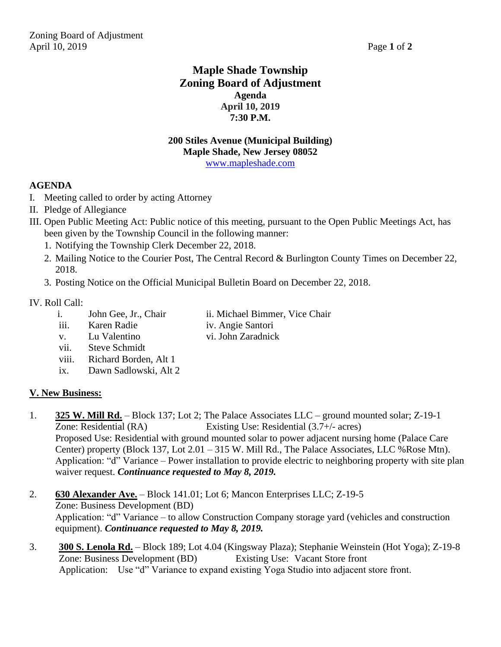# **Maple Shade Township Zoning Board of Adjustment Agenda April 10, 2019 7:30 P.M.**

#### **200 Stiles Avenue (Municipal Building) Maple Shade, New Jersey 08052** [www.mapleshade.com](http://www.mapleshade.com/)

### **AGENDA**

- I. Meeting called to order by acting Attorney
- II. Pledge of Allegiance
- III. Open Public Meeting Act: Public notice of this meeting, pursuant to the Open Public Meetings Act, has been given by the Township Council in the following manner:
	- 1. Notifying the Township Clerk December 22, 2018.
	- 2. Mailing Notice to the Courier Post, The Central Record & Burlington County Times on December 22, 2018.
	- 3. Posting Notice on the Official Municipal Bulletin Board on December 22, 2018.

#### IV. Roll Call:

- i. John Gee, Jr., Chair ii. Michael Bimmer, Vice Chair
- iii. Karen Radie iv. Angie Santori
	-
- v. Lu Valentino vi. John Zaradnick vii. Steve Schmidt
- 
- viii. Richard Borden, Alt 1
- ix. Dawn Sadlowski, Alt 2

### **V. New Business:**

- 1. **325 W. Mill Rd.** Block 137; Lot 2; The Palace Associates LLC ground mounted solar; Z-19-1 Zone: Residential (RA) Existing Use: Residential (3.7+/- acres) Proposed Use: Residential with ground mounted solar to power adjacent nursing home (Palace Care Center) property (Block 137, Lot 2.01 – 315 W. Mill Rd., The Palace Associates, LLC %Rose Mtn). Application: "d" Variance – Power installation to provide electric to neighboring property with site plan waiver request. *Continuance requested to May 8, 2019.*
- 2. **630 Alexander Ave.** Block 141.01; Lot 6; Mancon Enterprises LLC; Z-19-5 Zone: Business Development (BD) Application: "d" Variance – to allow Construction Company storage yard (vehicles and construction equipment). *Continuance requested to May 8, 2019.*
- 3. **300 S. Lenola Rd.** Block 189; Lot 4.04 (Kingsway Plaza); Stephanie Weinstein (Hot Yoga); Z-19-8 Zone: Business Development (BD) Existing Use: Vacant Store front Application: Use "d" Variance to expand existing Yoga Studio into adjacent store front.